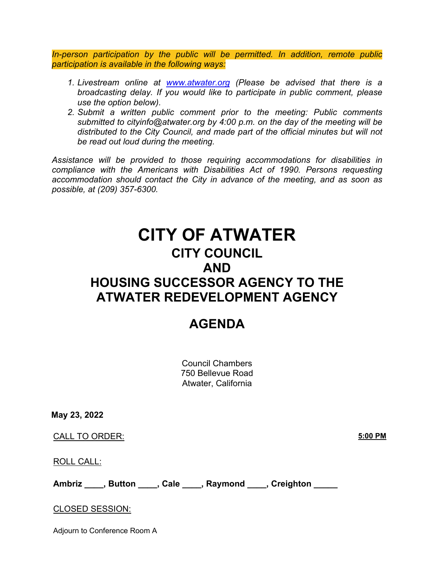*In-person participation by the public will be permitted. In addition, remote public participation is available in the following ways:*

- *1. Livestream online at [www.atwater.org](//www.atwater.org) (Please be advised that there is a broadcasting delay. If you would like to participate in public comment, please use the option below).*
- *2. Submit a written public comment prior to the meeting: Public comments submitted to cityinfo@atwater.org by 4:00 p.m. on the day of the meeting will be distributed to the City Council, and made part of the official minutes but will not be read out loud during the meeting.*

*Assistance will be provided to those requiring accommodations for disabilities in compliance with the Americans with Disabilities Act of 1990. Persons requesting accommodation should contact the City in advance of the meeting, and as soon as possible, at (209) 357-6300.*

# **CITY OF ATWATER CITY COUNCIL AND HOUSING SUCCESSOR AGENCY TO THE ATWATER REDEVELOPMENT AGENCY**

# **AGENDA**

Council Chambers 750 Bellevue Road Atwater, California

**May 23, 2022**

CALL TO ORDER: **5:00 PM**

ROLL CALL:

**Ambriz \_\_\_\_, Button \_\_\_\_, Cale \_\_\_\_, Raymond \_\_\_\_, Creighton \_\_\_\_\_**

# CLOSED SESSION:

Adjourn to Conference Room A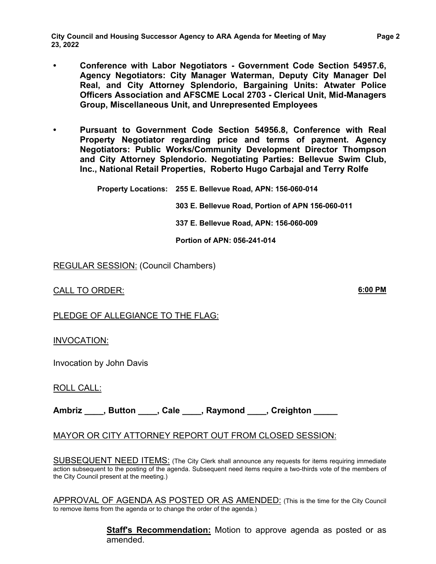**City Council and Housing Successor Agency to ARA Agenda for Meeting of May 23, 2022** 

- **• Conference with Labor Negotiators Government Code Section 54957.6, Agency Negotiators: City Manager Waterman, Deputy City Manager Del Real, and City Attorney Splendorio, Bargaining Units: Atwater Police Officers Association and AFSCME Local 2703 - Clerical Unit, Mid-Managers Group, Miscellaneous Unit, and Unrepresented Employees**
- **• Pursuant to Government Code Section 54956.8, Conference with Real Property Negotiator regarding price and terms of payment. Agency Negotiators: Public Works/Community Development Director Thompson and City Attorney Splendorio. Negotiating Parties: Bellevue Swim Club, Inc., National Retail Properties, Roberto Hugo Carbajal and Terry Rolfe**

 **Property Locations: 255 E. Bellevue Road, APN: 156-060-014** 

**303 E. Bellevue Road, Portion of APN 156-060-011**

**337 E. Bellevue Road, APN: 156-060-009**

**Portion of APN: 056-241-014**

REGULAR SESSION: (Council Chambers)

CALL TO ORDER: **6:00 PM**

PLEDGE OF ALLEGIANCE TO THE FLAG:

INVOCATION:

Invocation by John Davis

ROLL CALL:

**Ambriz \_\_\_\_, Button \_\_\_\_, Cale \_\_\_\_, Raymond \_\_\_\_, Creighton \_\_\_\_\_**

# MAYOR OR CITY ATTORNEY REPORT OUT FROM CLOSED SESSION:

SUBSEQUENT NEED ITEMS: (The City Clerk shall announce any requests for items requiring immediate action subsequent to the posting of the agenda. Subsequent need items require a two-thirds vote of the members of the City Council present at the meeting.)

APPROVAL OF AGENDA AS POSTED OR AS AMENDED: (This is the time for the City Council to remove items from the agenda or to change the order of the agenda.)

> **Staff's Recommendation:** Motion to approve agenda as posted or as amended.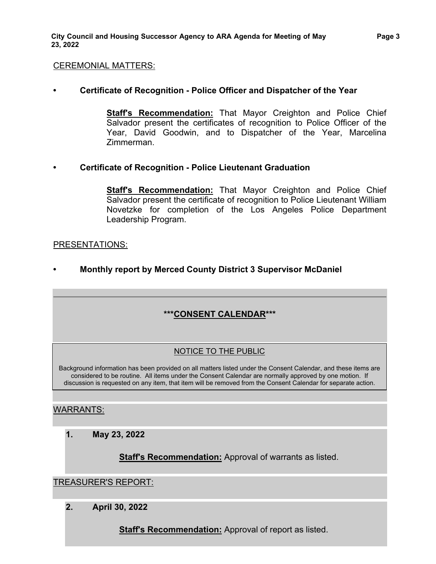#### CEREMONIAL MATTERS:

# **• Certificate of Recognition - Police Officer and Dispatcher of the Year**

**Staff's Recommendation:** That Mayor Creighton and Police Chief Salvador present the certificates of recognition to Police Officer of the Year, David Goodwin, and to Dispatcher of the Year, Marcelina Zimmerman.

#### **• Certificate of Recognition - Police Lieutenant Graduation**

**Staff's Recommendation:** That Mayor Creighton and Police Chief Salvador present the certificate of recognition to Police Lieutenant William Novetzke for completion of the Los Angeles Police Department Leadership Program.

#### PRESENTATIONS:

**• Monthly report by Merced County District 3 Supervisor McDaniel**

# **\*\*\*CONSENT CALENDAR\*\*\***

#### NOTICE TO THE PUBLIC

Background information has been provided on all matters listed under the Consent Calendar, and these items are considered to be routine. All items under the Consent Calendar are normally approved by one motion. If discussion is requested on any item, that item will be removed from the Consent Calendar for separate action.

# WARRANTS:

**1. May 23, 2022**

**Staff's Recommendation:** Approval of warrants as listed.

#### TREASURER'S REPORT:

**2. April 30, 2022**

**Staff's Recommendation:** Approval of report as listed.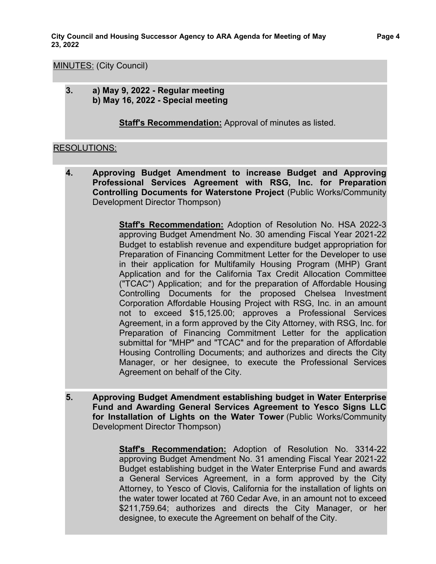#### MINUTES: (City Council)

**3. a) May 9, 2022 - Regular meeting b) May 16, 2022 - Special meeting**

**Staff's Recommendation:** Approval of minutes as listed.

# RESOLUTIONS:

**4. Approving Budget Amendment to increase Budget and Approving Professional Services Agreement with RSG, Inc. for Preparation Controlling Documents for Waterstone Project** (Public Works/Community Development Director Thompson)

> **Staff's Recommendation:** Adoption of Resolution No. HSA 2022-3 approving Budget Amendment No. 30 amending Fiscal Year 2021-22 Budget to establish revenue and expenditure budget appropriation for Preparation of Financing Commitment Letter for the Developer to use in their application for Multifamily Housing Program (MHP) Grant Application and for the California Tax Credit Allocation Committee ("TCAC") Application; and for the preparation of Affordable Housing Controlling Documents for the proposed Chelsea Investment Corporation Affordable Housing Project with RSG, Inc. in an amount not to exceed \$15,125.00; approves a Professional Services Agreement, in a form approved by the City Attorney, with RSG, Inc. for Preparation of Financing Commitment Letter for the application submittal for "MHP" and "TCAC" and for the preparation of Affordable Housing Controlling Documents; and authorizes and directs the City Manager, or her designee, to execute the Professional Services Agreement on behalf of the City.

**5. Approving Budget Amendment establishing budget in Water Enterprise Fund and Awarding General Services Agreement to Yesco Signs LLC for Installation of Lights on the Water Tower** (Public Works/Community Development Director Thompson)

> **Staff's Recommendation:** Adoption of Resolution No. 3314-22 approving Budget Amendment No. 31 amending Fiscal Year 2021-22 Budget establishing budget in the Water Enterprise Fund and awards a General Services Agreement, in a form approved by the City Attorney, to Yesco of Clovis, California for the installation of lights on the water tower located at 760 Cedar Ave, in an amount not to exceed \$211,759.64; authorizes and directs the City Manager, or her designee, to execute the Agreement on behalf of the City.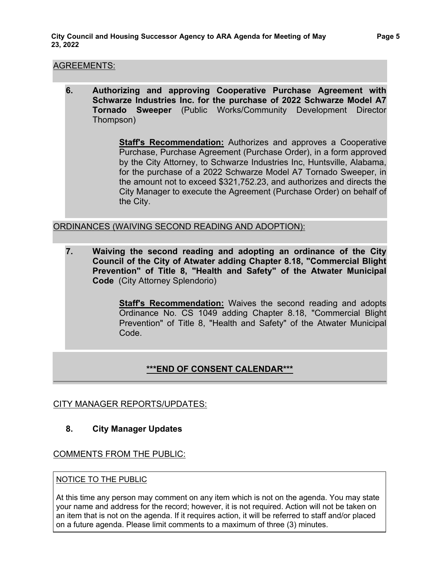#### AGREEMENTS:

**6. Authorizing and approving Cooperative Purchase Agreement with Schwarze Industries Inc. for the purchase of 2022 Schwarze Model A7 Tornado Sweeper** (Public Works/Community Development Director Thompson)

> **Staff's Recommendation:** Authorizes and approves a Cooperative Purchase, Purchase Agreement (Purchase Order), in a form approved by the City Attorney, to Schwarze Industries Inc, Huntsville, Alabama, for the purchase of a 2022 Schwarze Model A7 Tornado Sweeper, in the amount not to exceed \$321,752.23, and authorizes and directs the City Manager to execute the Agreement (Purchase Order) on behalf of the City.

# ORDINANCES (WAIVING SECOND READING AND ADOPTION):

**7. Waiving the second reading and adopting an ordinance of the City Council of the City of Atwater adding Chapter 8.18, "Commercial Blight Prevention" of Title 8, "Health and Safety" of the Atwater Municipal Code** (City Attorney Splendorio)

> **Staff's Recommendation:** Waives the second reading and adopts Ordinance No. CS 1049 adding Chapter 8.18, "Commercial Blight Prevention" of Title 8, "Health and Safety" of the Atwater Municipal Code.

# **\*\*\*END OF CONSENT CALENDAR\*\*\***

#### CITY MANAGER REPORTS/UPDATES:

#### **8. City Manager Updates**

# COMMENTS FROM THE PUBLIC:

#### NOTICE TO THE PUBLIC

At this time any person may comment on any item which is not on the agenda. You may state your name and address for the record; however, it is not required. Action will not be taken on an item that is not on the agenda. If it requires action, it will be referred to staff and/or placed on a future agenda. Please limit comments to a maximum of three (3) minutes.